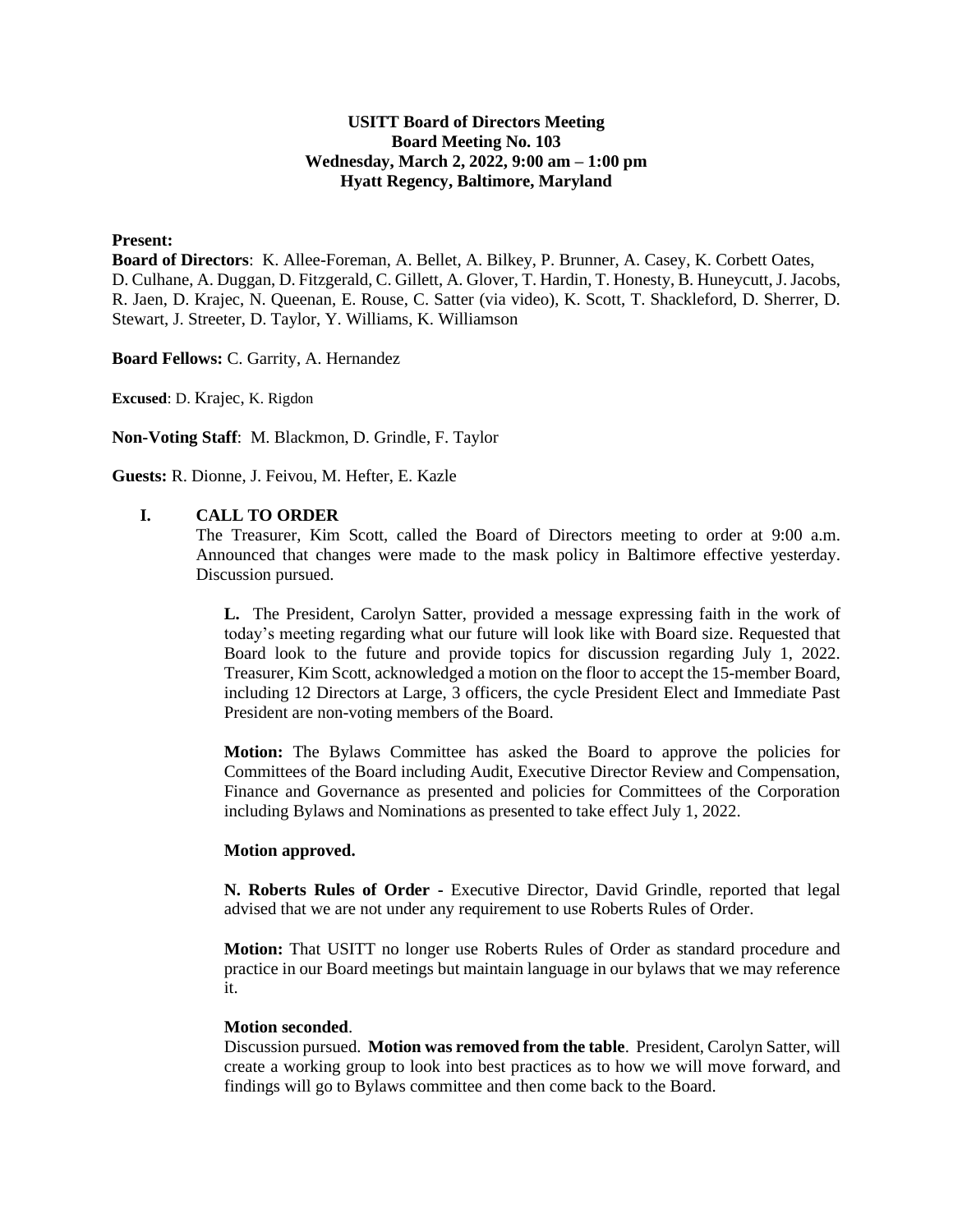### **USITT Board of Directors Meeting Board Meeting No. 103 Wednesday, March 2, 2022, 9:00 am – 1:00 pm Hyatt Regency, Baltimore, Maryland**

## **Present:**

**Board of Directors**: K. Allee-Foreman, A. Bellet, A. Bilkey, P. Brunner, A. Casey, K. Corbett Oates, D. Culhane, A. Duggan, D. Fitzgerald, C. Gillett, A. Glover, T. Hardin, T. Honesty, B. Huneycutt, J. Jacobs, R. Jaen, D. Krajec, N. Queenan, E. Rouse, C. Satter (via video), K. Scott, T. Shackleford, D. Sherrer, D. Stewart, J. Streeter, D. Taylor, Y. Williams, K. Williamson

**Board Fellows:** C. Garrity, A. Hernandez

**Excused**: D. Krajec, K. Rigdon

**Non-Voting Staff**: M. Blackmon, D. Grindle, F. Taylor

**Guests:** R. Dionne, J. Feivou, M. Hefter, E. Kazle

#### **I. CALL TO ORDER**

The Treasurer, Kim Scott, called the Board of Directors meeting to order at 9:00 a.m. Announced that changes were made to the mask policy in Baltimore effective yesterday. Discussion pursued.

**L.** The President, Carolyn Satter, provided a message expressing faith in the work of today's meeting regarding what our future will look like with Board size. Requested that Board look to the future and provide topics for discussion regarding July 1, 2022. Treasurer, Kim Scott, acknowledged a motion on the floor to accept the 15-member Board, including 12 Directors at Large, 3 officers, the cycle President Elect and Immediate Past President are non-voting members of the Board.

**Motion:** The Bylaws Committee has asked the Board to approve the policies for Committees of the Board including Audit, Executive Director Review and Compensation, Finance and Governance as presented and policies for Committees of the Corporation including Bylaws and Nominations as presented to take effect July 1, 2022.

#### **Motion approved.**

**N. Roberts Rules of Order -** Executive Director, David Grindle, reported that legal advised that we are not under any requirement to use Roberts Rules of Order.

**Motion:** That USITT no longer use Roberts Rules of Order as standard procedure and practice in our Board meetings but maintain language in our bylaws that we may reference it.

#### **Motion seconded**.

Discussion pursued. **Motion was removed from the table**. President, Carolyn Satter, will create a working group to look into best practices as to how we will move forward, and findings will go to Bylaws committee and then come back to the Board.